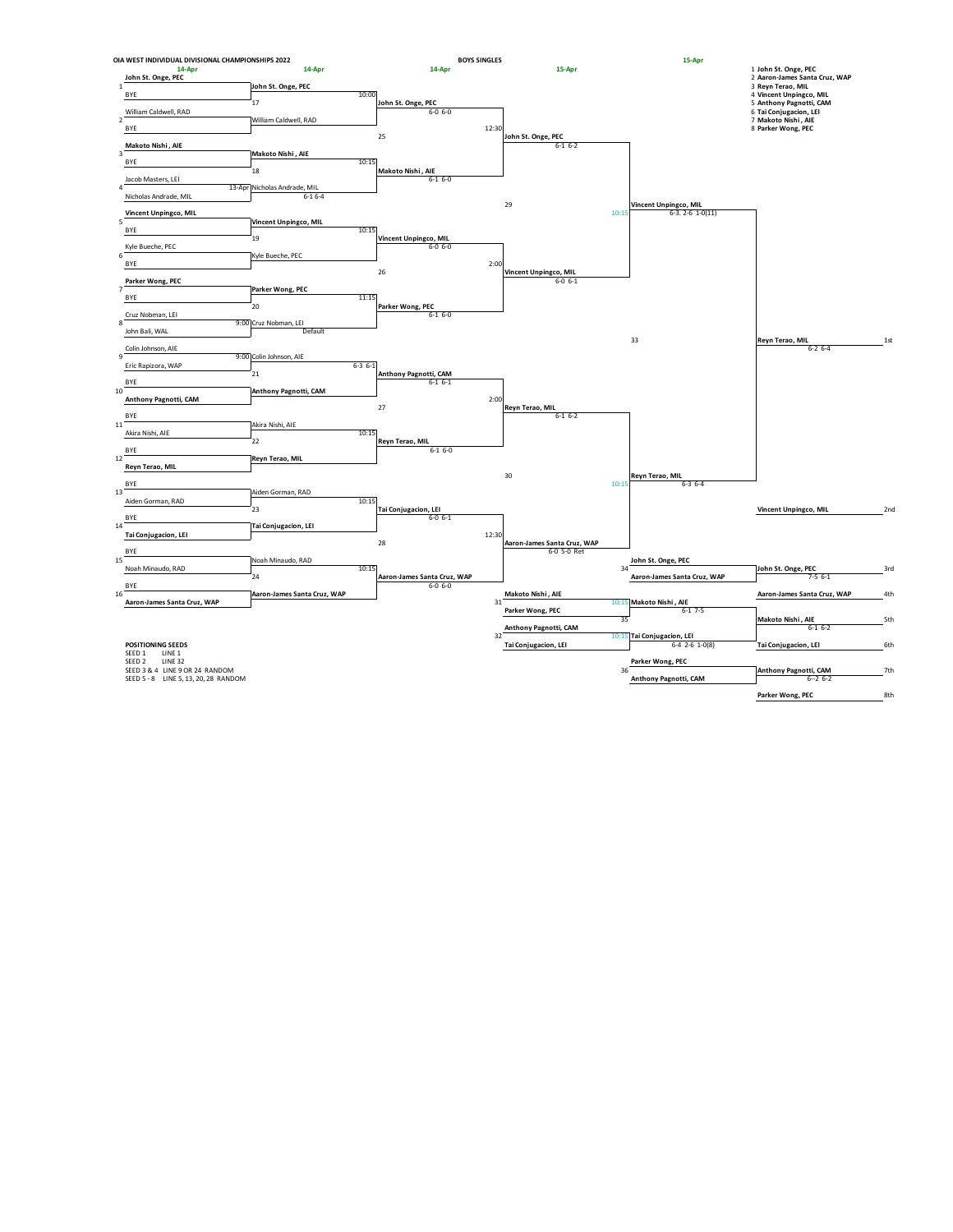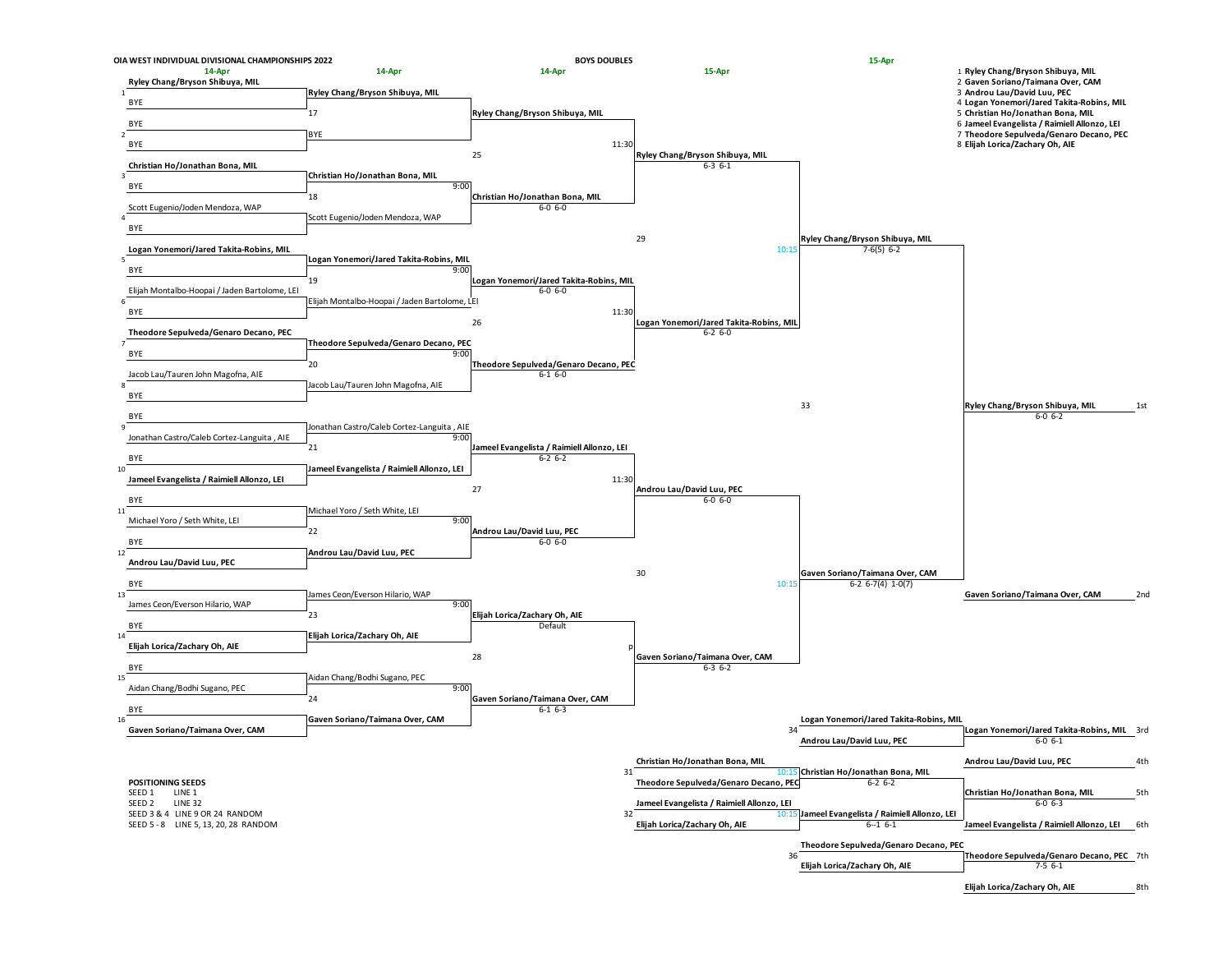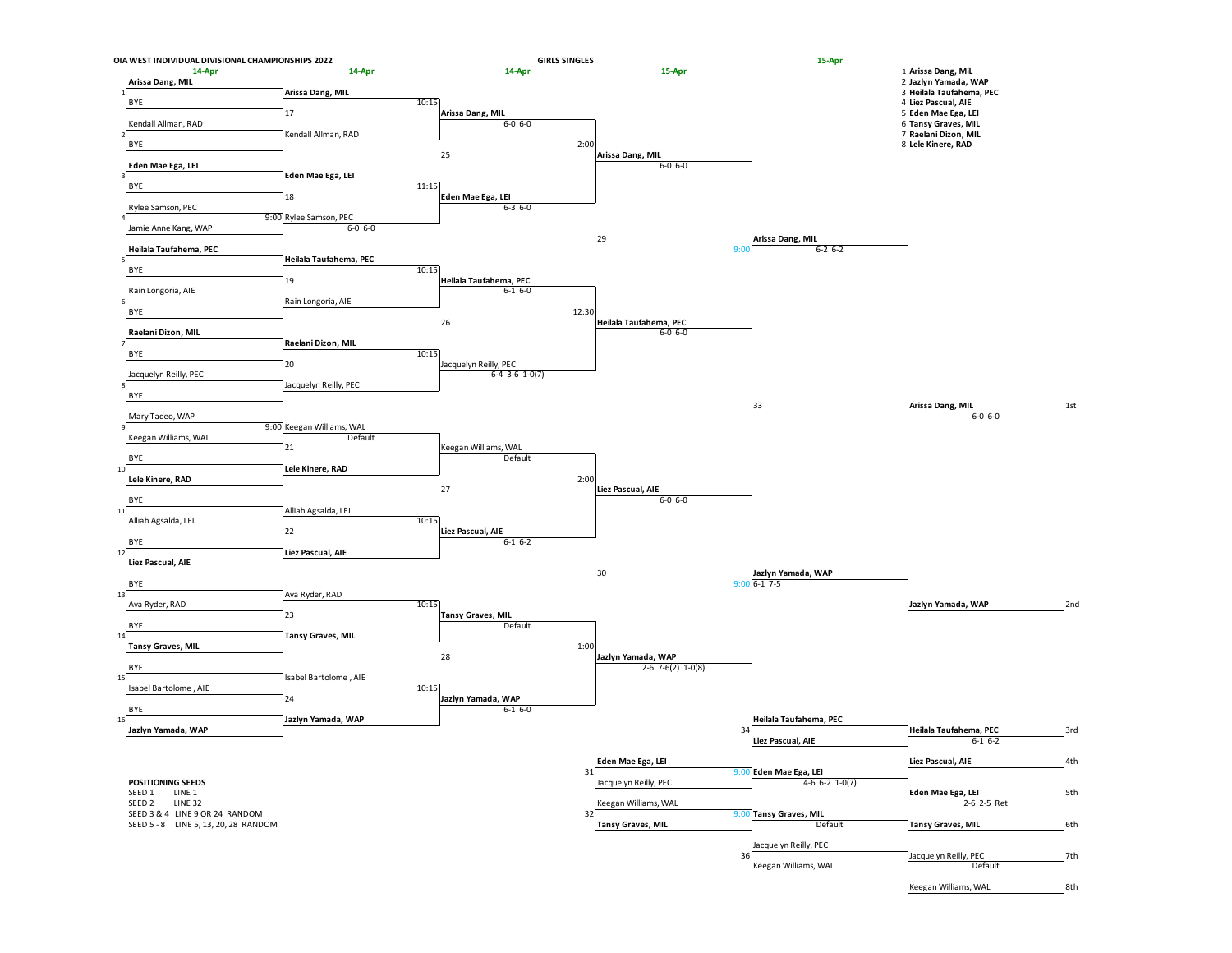